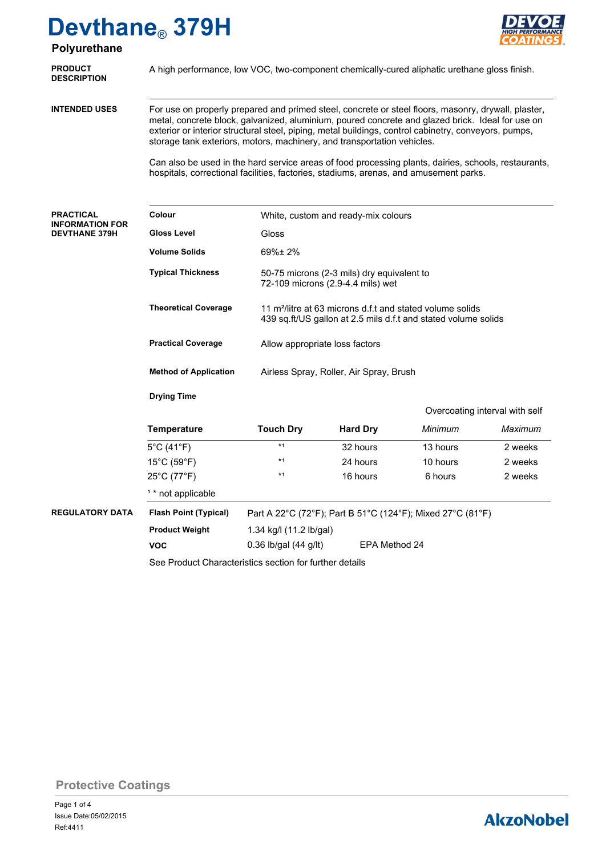

| Polyurethane                                                       | $D$ overleating of oft                                                                                                                                                                                                                                                                                                                                                                                                                                                                                                                                                                      |                                                                                                                                         |                 |          | <b>HIGH PERFORMAN</b><br><b>COATINGS</b> |  |  |  |
|--------------------------------------------------------------------|---------------------------------------------------------------------------------------------------------------------------------------------------------------------------------------------------------------------------------------------------------------------------------------------------------------------------------------------------------------------------------------------------------------------------------------------------------------------------------------------------------------------------------------------------------------------------------------------|-----------------------------------------------------------------------------------------------------------------------------------------|-----------------|----------|------------------------------------------|--|--|--|
| <b>PRODUCT</b><br><b>DESCRIPTION</b>                               | A high performance, low VOC, two-component chemically-cured aliphatic urethane gloss finish.                                                                                                                                                                                                                                                                                                                                                                                                                                                                                                |                                                                                                                                         |                 |          |                                          |  |  |  |
| <b>INTENDED USES</b>                                               | For use on properly prepared and primed steel, concrete or steel floors, masonry, drywall, plaster,<br>metal, concrete block, galvanized, aluminium, poured concrete and glazed brick. Ideal for use on<br>exterior or interior structural steel, piping, metal buildings, control cabinetry, conveyors, pumps,<br>storage tank exteriors, motors, machinery, and transportation vehicles.<br>Can also be used in the hard service areas of food processing plants, dairies, schools, restaurants,<br>hospitals, correctional facilities, factories, stadiums, arenas, and amusement parks. |                                                                                                                                         |                 |          |                                          |  |  |  |
|                                                                    |                                                                                                                                                                                                                                                                                                                                                                                                                                                                                                                                                                                             |                                                                                                                                         |                 |          |                                          |  |  |  |
| <b>PRACTICAL</b><br><b>INFORMATION FOR</b><br><b>DEVTHANE 379H</b> | Colour                                                                                                                                                                                                                                                                                                                                                                                                                                                                                                                                                                                      | White, custom and ready-mix colours                                                                                                     |                 |          |                                          |  |  |  |
|                                                                    | <b>Gloss Level</b>                                                                                                                                                                                                                                                                                                                                                                                                                                                                                                                                                                          | Gloss                                                                                                                                   |                 |          |                                          |  |  |  |
|                                                                    | <b>Volume Solids</b>                                                                                                                                                                                                                                                                                                                                                                                                                                                                                                                                                                        | 69%±2%                                                                                                                                  |                 |          |                                          |  |  |  |
|                                                                    | <b>Typical Thickness</b>                                                                                                                                                                                                                                                                                                                                                                                                                                                                                                                                                                    | 50-75 microns (2-3 mils) dry equivalent to<br>72-109 microns (2.9-4.4 mils) wet                                                         |                 |          |                                          |  |  |  |
|                                                                    | <b>Theoretical Coverage</b>                                                                                                                                                                                                                                                                                                                                                                                                                                                                                                                                                                 | 11 m <sup>2</sup> /litre at 63 microns d.f.t and stated volume solids<br>439 sq.ft/US gallon at 2.5 mils d.f.t and stated volume solids |                 |          |                                          |  |  |  |
|                                                                    | <b>Practical Coverage</b>                                                                                                                                                                                                                                                                                                                                                                                                                                                                                                                                                                   | Allow appropriate loss factors                                                                                                          |                 |          |                                          |  |  |  |
|                                                                    | <b>Method of Application</b>                                                                                                                                                                                                                                                                                                                                                                                                                                                                                                                                                                | Airless Spray, Roller, Air Spray, Brush                                                                                                 |                 |          |                                          |  |  |  |
|                                                                    | <b>Drying Time</b>                                                                                                                                                                                                                                                                                                                                                                                                                                                                                                                                                                          |                                                                                                                                         |                 |          |                                          |  |  |  |
|                                                                    | Overcoating interval with self                                                                                                                                                                                                                                                                                                                                                                                                                                                                                                                                                              |                                                                                                                                         |                 |          |                                          |  |  |  |
|                                                                    | <b>Temperature</b>                                                                                                                                                                                                                                                                                                                                                                                                                                                                                                                                                                          | <b>Touch Dry</b>                                                                                                                        | <b>Hard Dry</b> | Minimum  | Maximum                                  |  |  |  |
|                                                                    | $5^{\circ}$ C (41 $^{\circ}$ F)                                                                                                                                                                                                                                                                                                                                                                                                                                                                                                                                                             | $*1$                                                                                                                                    | 32 hours        | 13 hours | 2 weeks                                  |  |  |  |
|                                                                    | 15°C (59°F)                                                                                                                                                                                                                                                                                                                                                                                                                                                                                                                                                                                 | $*1$                                                                                                                                    | 24 hours        | 10 hours | 2 weeks                                  |  |  |  |
|                                                                    | 25°C (77°F)                                                                                                                                                                                                                                                                                                                                                                                                                                                                                                                                                                                 | $*1$                                                                                                                                    | 16 hours        | 6 hours  | 2 weeks                                  |  |  |  |

**REGULATORY DATA Flash Point (Typical)**

Part A 22°C (72°F); Part B 51°C (124°F); Mixed 27°C (81°F)

**Product Weight**

<sup>1</sup> \* not applicable

**VOC**

1.34 kg/l (11.2 lb/gal) 0.36 lb/gal (44 g/lt) EPA Method 24

See Product Characteristics section for further details

**Protective Coatings**

### **AkzoNobel**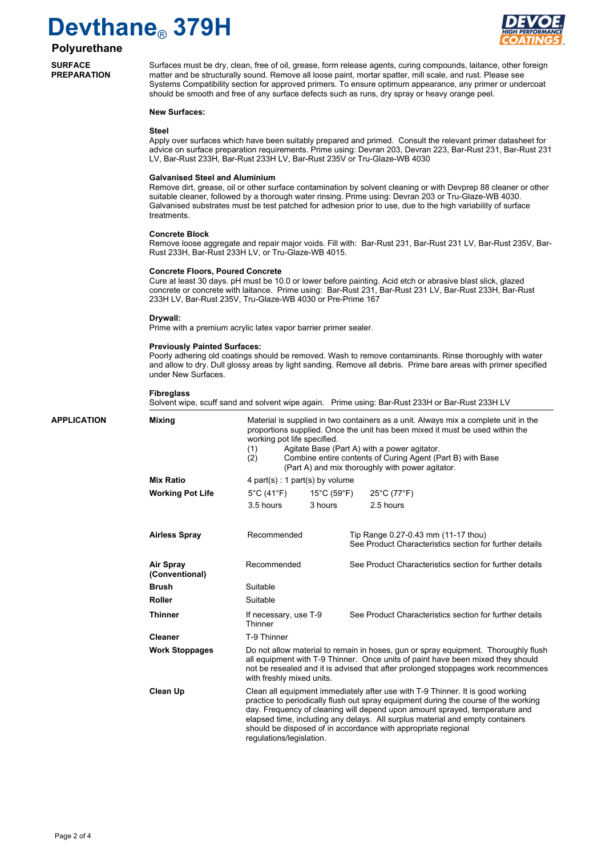

### **Polyurethane**

**SURFACE PREPARATION**

Surfaces must be dry, clean, free of oil, grease, form release agents, curing compounds, laitance, other foreign matter and be structurally sound. Remove all loose paint, mortar spatter, mill scale, and rust. Please see Systems Compatibility section for approved primers. To ensure optimum appearance, any primer or undercoat should be smooth and free of any surface defects such as runs, dry spray or heavy orange peel.

#### **New Surfaces:**

#### **Steel**

Apply over surfaces which have been suitably prepared and primed. Consult the relevant primer datasheet for advice on surface preparation requirements. Prime using: Devran 203, Devran 223, Bar-Rust 231, Bar-Rust 231 LV, Bar-Rust 233H, Bar-Rust 233H LV, Bar-Rust 235V or Tru-Glaze-WB 4030

#### **Galvanised Steel and Aluminium**

Remove dirt, grease, oil or other surface contamination by solvent cleaning or with Devprep 88 cleaner or other suitable cleaner, followed by a thorough water rinsing. Prime using: Devran 203 or Tru-Glaze-WB 4030. Galvanised substrates must be test patched for adhesion prior to use, due to the high variability of surface treatments.

#### **Concrete Block**

Remove loose aggregate and repair major voids. Fill with: Bar-Rust 231, Bar-Rust 231 LV, Bar-Rust 235V, Bar-Rust 233H, Bar-Rust 233H LV, or Tru-Glaze-WB 4015.

#### **Concrete Floors, Poured Concrete**

Cure at least 30 days. pH must be 10.0 or lower before painting. Acid etch or abrasive blast slick, glazed concrete or concrete with laitance. Prime using: Bar-Rust 231, Bar-Rust 231 LV, Bar-Rust 233H, Bar-Rust 233H LV, Bar-Rust 235V, Tru-Glaze-WB 4030 or Pre-Prime 167

#### **Drywall:**

Prime with a premium acrylic latex vapor barrier primer sealer.

#### **Previously Painted Surfaces:**

Poorly adhering old coatings should be removed. Wash to remove contaminants. Rinse thoroughly with water and allow to dry. Dull glossy areas by light sanding. Remove all debris. Prime bare areas with primer specified under New Surfaces.

#### **Fibreglass**

Solvent wipe, scuff sand and solvent wipe again. Prime using: Bar-Rust 233H or Bar-Rust 233H LV

| APPLICATION | <b>Mixing</b>               | Material is supplied in two containers as a unit. Always mix a complete unit in the<br>proportions supplied. Once the unit has been mixed it must be used within the<br>working pot life specified.<br>Agitate Base (Part A) with a power agitator.<br>(1)<br>(2)<br>Combine entire contents of Curing Agent (Part B) with Base<br>(Part A) and mix thoroughly with power agitator. |                                                                                                                                                                                                                                                                                                                                                                                                                                    |                                                                                                |  |  |  |
|-------------|-----------------------------|-------------------------------------------------------------------------------------------------------------------------------------------------------------------------------------------------------------------------------------------------------------------------------------------------------------------------------------------------------------------------------------|------------------------------------------------------------------------------------------------------------------------------------------------------------------------------------------------------------------------------------------------------------------------------------------------------------------------------------------------------------------------------------------------------------------------------------|------------------------------------------------------------------------------------------------|--|--|--|
|             | <b>Mix Ratio</b>            |                                                                                                                                                                                                                                                                                                                                                                                     | 4 part(s) : 1 part(s) by volume                                                                                                                                                                                                                                                                                                                                                                                                    |                                                                                                |  |  |  |
|             | <b>Working Pot Life</b>     | $5^{\circ}$ C (41 $^{\circ}$ F)                                                                                                                                                                                                                                                                                                                                                     | 15°C (59°F)                                                                                                                                                                                                                                                                                                                                                                                                                        | 25°C (77°F)                                                                                    |  |  |  |
|             |                             | 3.5 hours                                                                                                                                                                                                                                                                                                                                                                           | 3 hours                                                                                                                                                                                                                                                                                                                                                                                                                            | 2.5 hours                                                                                      |  |  |  |
|             | <b>Airless Spray</b>        | Recommended                                                                                                                                                                                                                                                                                                                                                                         |                                                                                                                                                                                                                                                                                                                                                                                                                                    | Tip Range 0.27-0.43 mm (11-17 thou)<br>See Product Characteristics section for further details |  |  |  |
|             | Air Spray<br>(Conventional) | Recommended                                                                                                                                                                                                                                                                                                                                                                         |                                                                                                                                                                                                                                                                                                                                                                                                                                    | See Product Characteristics section for further details                                        |  |  |  |
|             | <b>Brush</b>                | Suitable                                                                                                                                                                                                                                                                                                                                                                            |                                                                                                                                                                                                                                                                                                                                                                                                                                    |                                                                                                |  |  |  |
|             | <b>Roller</b>               | Suitable                                                                                                                                                                                                                                                                                                                                                                            |                                                                                                                                                                                                                                                                                                                                                                                                                                    |                                                                                                |  |  |  |
|             | <b>Thinner</b>              | If necessary, use T-9<br>Thinner                                                                                                                                                                                                                                                                                                                                                    |                                                                                                                                                                                                                                                                                                                                                                                                                                    | See Product Characteristics section for further details                                        |  |  |  |
|             | <b>Cleaner</b>              | T-9 Thinner                                                                                                                                                                                                                                                                                                                                                                         |                                                                                                                                                                                                                                                                                                                                                                                                                                    |                                                                                                |  |  |  |
|             | <b>Work Stoppages</b>       | Do not allow material to remain in hoses, gun or spray equipment. Thoroughly flush<br>all equipment with T-9 Thinner. Once units of paint have been mixed they should<br>not be resealed and it is advised that after prolonged stoppages work recommences<br>with freshly mixed units.                                                                                             |                                                                                                                                                                                                                                                                                                                                                                                                                                    |                                                                                                |  |  |  |
|             | Clean Up                    |                                                                                                                                                                                                                                                                                                                                                                                     | Clean all equipment immediately after use with T-9 Thinner. It is good working<br>practice to periodically flush out spray equipment during the course of the working<br>day. Frequency of cleaning will depend upon amount sprayed, temperature and<br>elapsed time, including any delays. All surplus material and empty containers<br>should be disposed of in accordance with appropriate regional<br>regulations/legislation. |                                                                                                |  |  |  |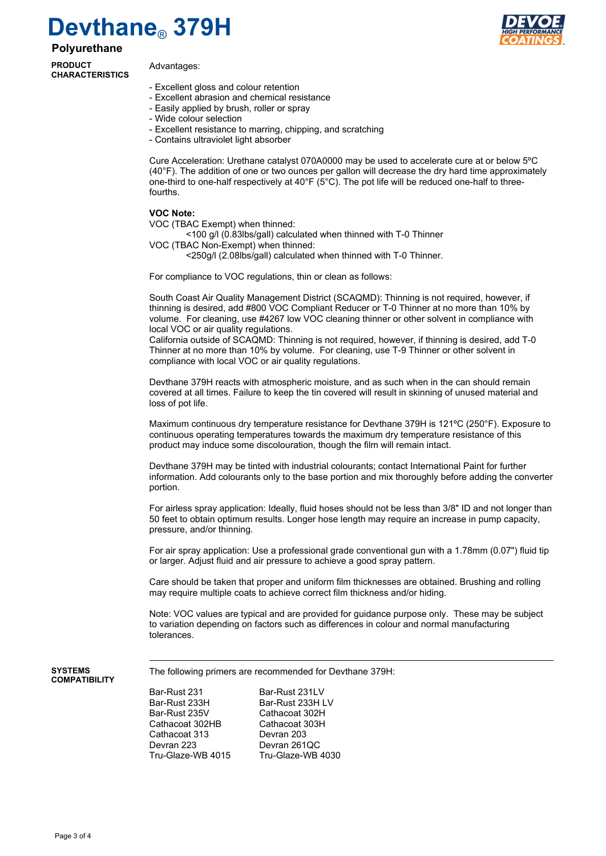**Polyurethane**

**PRODUCT CHARACTERISTICS**

Advantages:

- Excellent gloss and colour retention
- Excellent abrasion and chemical resistance
- Easily applied by brush, roller or spray
- Wide colour selection
- Excellent resistance to marring, chipping, and scratching
- Contains ultraviolet light absorber

Cure Acceleration: Urethane catalyst 070A0000 may be used to accelerate cure at or below 5ºC (40°F). The addition of one or two ounces per gallon will decrease the dry hard time approximately one-third to one-half respectively at 40°F (5°C). The pot life will be reduced one-half to threefourths.

#### **VOC Note:**

- VOC (TBAC Exempt) when thinned:
- <100 g/l (0.83lbs/gall) calculated when thinned with T-0 Thinner
- VOC (TBAC Non-Exempt) when thinned:
	- <250g/l (2.08lbs/gall) calculated when thinned with T-0 Thinner.

For compliance to VOC regulations, thin or clean as follows:

South Coast Air Quality Management District (SCAQMD): Thinning is not required, however, if thinning is desired, add #800 VOC Compliant Reducer or T-0 Thinner at no more than 10% by volume. For cleaning, use #4267 low VOC cleaning thinner or other solvent in compliance with local VOC or air quality regulations.

California outside of SCAQMD: Thinning is not required, however, if thinning is desired, add T-0 Thinner at no more than 10% by volume. For cleaning, use T-9 Thinner or other solvent in compliance with local VOC or air quality regulations.

Devthane 379H reacts with atmospheric moisture, and as such when in the can should remain covered at all times. Failure to keep the tin covered will result in skinning of unused material and loss of pot life.

Maximum continuous dry temperature resistance for Devthane 379H is 121°C (250°F). Exposure to continuous operating temperatures towards the maximum dry temperature resistance of this product may induce some discolouration, though the film will remain intact.

Devthane 379H may be tinted with industrial colourants; contact International Paint for further information. Add colourants only to the base portion and mix thoroughly before adding the converter portion.

For airless spray application: Ideally, fluid hoses should not be less than 3/8" ID and not longer than 50 feet to obtain optimum results. Longer hose length may require an increase in pump capacity, pressure, and/or thinning.

For air spray application: Use a professional grade conventional gun with a 1.78mm (0.07") fluid tip or larger. Adjust fluid and air pressure to achieve a good spray pattern.

Care should be taken that proper and uniform film thicknesses are obtained. Brushing and rolling may require multiple coats to achieve correct film thickness and/or hiding.

Note: VOC values are typical and are provided for guidance purpose only. These may be subject to variation depending on factors such as differences in colour and normal manufacturing tolerances.

#### **SYSTEMS COMPATIBILITY**

The following primers are recommended for Devthane 379H:

Bar-Rust 231 Bar-Rust 231LV Bar-Rust 233H Bar-Rust 233H LV<br>Bar-Rust 235V Bar-Rust 202H Cathacoat 302HB Cathacoat 303H Cathacoat 313 Devran 223 Devran 261QC

Cathacoat 302H Tru-Glaze-WB 4015 Tru-Glaze-WB 4030